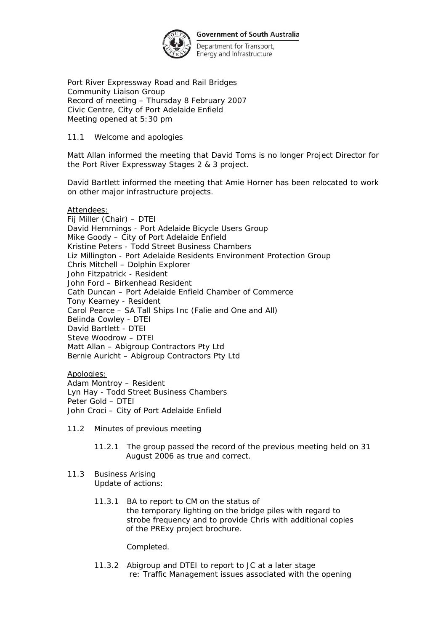

Department for Transport, Energy and Infrastructure

Port River Expressway Road and Rail Bridges Community Liaison Group Record of meeting – Thursday 8 February 2007 Civic Centre, City of Port Adelaide Enfield Meeting opened at 5:30 pm

## 11.1 Welcome and apologies

Matt Allan informed the meeting that David Toms is no longer Project Director for the Port River Expressway Stages 2 & 3 project.

David Bartlett informed the meeting that Amie Horner has been relocated to work on other major infrastructure projects.

Attendees:

Fij Miller (Chair) – DTEI David Hemmings - Port Adelaide Bicycle Users Group Mike Goody – City of Port Adelaide Enfield Kristine Peters - Todd Street Business Chambers Liz Millington - Port Adelaide Residents Environment Protection Group Chris Mitchell – Dolphin Explorer John Fitzpatrick - Resident John Ford – Birkenhead Resident Cath Duncan – Port Adelaide Enfield Chamber of Commerce Tony Kearney - Resident Carol Pearce – SA Tall Ships Inc (Falie and One and All) Belinda Cowley - DTEI David Bartlett - DTEI Steve Woodrow – DTEI Matt Allan – Abigroup Contractors Pty Ltd Bernie Auricht – Abigroup Contractors Pty Ltd

Apologies: Adam Montroy – Resident Lyn Hay - Todd Street Business Chambers Peter Gold – DTEI John Croci – City of Port Adelaide Enfield

- 11.2 Minutes of previous meeting
	- 11.2.1 The group passed the record of the previous meeting held on 31 August 2006 as true and correct.
- 11.3 Business Arising Update of actions:
	- 11.3.1 BA to report to CM on the status of the temporary lighting on the bridge piles with regard to strobe frequency and to provide Chris with additional copies of the PRExy project brochure.

Completed.

11.3.2 Abigroup and DTEI to report to JC at a later stage re: Traffic Management issues associated with the opening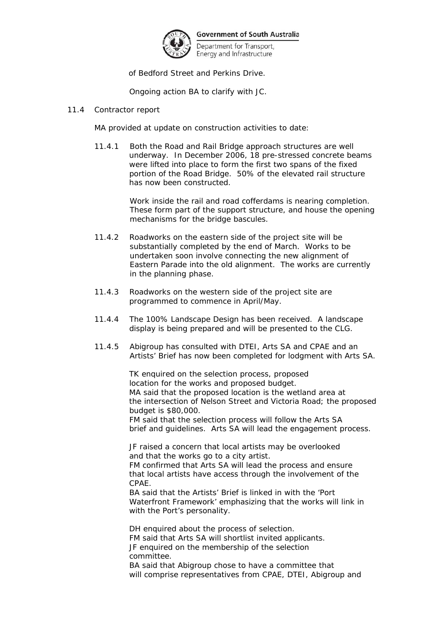

Department for Transport, Energy and Infrastructure

of Bedford Street and Perkins Drive.

Ongoing action BA to clarify with JC.

## 11.4 Contractor report

MA provided at update on construction activities to date:

11.4.1 Both the Road and Rail Bridge approach structures are well underway. In December 2006, 18 pre-stressed concrete beams were lifted into place to form the first two spans of the fixed portion of the Road Bridge. 50% of the elevated rail structure has now been constructed.

> Work inside the rail and road cofferdams is nearing completion. These form part of the support structure, and house the opening mechanisms for the bridge bascules.

- 11.4.2 Roadworks on the eastern side of the project site will be substantially completed by the end of March. Works to be undertaken soon involve connecting the new alignment of Eastern Parade into the old alignment. The works are currently in the planning phase.
- 11.4.3 Roadworks on the western side of the project site are programmed to commence in April/May.
- 11.4.4 The 100% Landscape Design has been received. A landscape display is being prepared and will be presented to the CLG.
- 11.4.5 Abigroup has consulted with DTEI, Arts SA and CPAE and an Artists' Brief has now been completed for lodgment with Arts SA.

 TK enquired on the selection process, proposed location for the works and proposed budget. MA said that the proposed location is the wetland area at the intersection of Nelson Street and Victoria Road; the proposed budget is \$80,000.

 FM said that the selection process will follow the Arts SA brief and guidelines. Arts SA will lead the engagement process.

 JF raised a concern that local artists may be overlooked and that the works go to a city artist.

 FM confirmed that Arts SA will lead the process and ensure that local artists have access through the involvement of the CPAE.

 BA said that the Artists' Brief is linked in with the 'Port Waterfront Framework' emphasizing that the works will link in with the Port's personality.

 DH enquired about the process of selection. FM said that Arts SA will shortlist invited applicants. JF enquired on the membership of the selection committee.

 BA said that Abigroup chose to have a committee that will comprise representatives from CPAE, DTEI, Abigroup and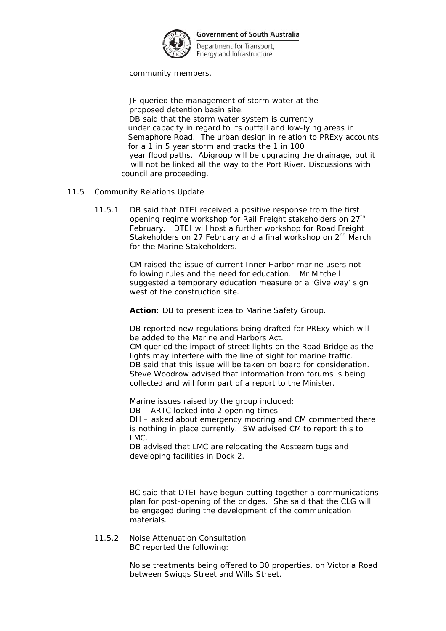

Department for Transport, Energy and Infrastructure

community members.

 JF queried the management of storm water at the proposed detention basin site. DB said that the storm water system is currently under capacity in regard to its outfall and low-lying areas in Semaphore Road. The urban design in relation to PRExy accounts for a 1 in 5 year storm and tracks the 1 in 100 year flood paths. Abigroup will be upgrading the drainage, but it will not be linked all the way to the Port River. Discussions with council are proceeding.

- 11.5 Community Relations Update
	- 11.5.1 DB said that DTEI received a positive response from the first opening regime workshop for Rail Freight stakeholders on 27<sup>th</sup> February. DTEI will host a further workshop for Road Freight Stakeholders on 27 February and a final workshop on 2<sup>nd</sup> March for the Marine Stakeholders.

CM raised the issue of current Inner Harbor marine users not following rules and the need for education. Mr Mitchell suggested a temporary education measure or a 'Give way' sign west of the construction site.

**Action**: DB to present idea to Marine Safety Group.

DB reported new regulations being drafted for PRExy which will be added to the Marine and Harbors Act.

CM queried the impact of street lights on the Road Bridge as the lights may interfere with the line of sight for marine traffic. DB said that this issue will be taken on board for consideration. Steve Woodrow advised that information from forums is being collected and will form part of a report to the Minister.

Marine issues raised by the group included:

DB – ARTC locked into 2 opening times.

DH – asked about emergency mooring and CM commented there is nothing in place currently. SW advised CM to report this to LMC.

DB advised that LMC are relocating the Adsteam tugs and developing facilities in Dock 2.

BC said that DTEI have begun putting together a communications plan for post-opening of the bridges. She said that the CLG will be engaged during the development of the communication materials.

 11.5.2 Noise Attenuation Consultation BC reported the following:

> Noise treatments being offered to 30 properties, on Victoria Road between Swiggs Street and Wills Street.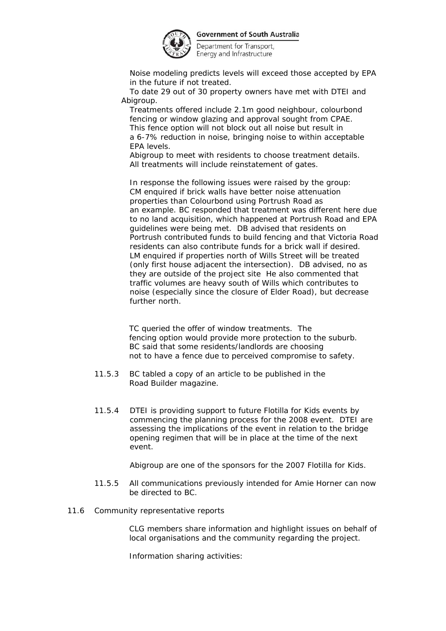

Department for Transport, Energy and Infrastructure

Noise modeling predicts levels will exceed those accepted by EPA in the future if not treated.

To date 29 out of 30 property owners have met with DTEI and Abigroup.

Treatments offered include 2.1m good neighbour, colourbond fencing or window glazing and approval sought from CPAE. This fence option will not block out all noise but result in a 6-7% reduction in noise, bringing noise to within acceptable EPA levels.

Abigroup to meet with residents to choose treatment details. All treatments will include reinstatement of gates.

In response the following issues were raised by the group: CM enquired if brick walls have better noise attenuation properties than Colourbond using Portrush Road as an example. BC responded that treatment was different here due to no land acquisition, which happened at Portrush Road and EPA guidelines were being met. DB advised that residents on Portrush contributed funds to build fencing and that Victoria Road residents can also contribute funds for a brick wall if desired. LM enquired if properties north of Wills Street will be treated (only first house adjacent the intersection). DB advised, no as they are outside of the project site He also commented that traffic volumes are heavy south of Wills which contributes to noise (especially since the closure of Elder Road), but decrease further north.

 TC queried the offer of window treatments. The fencing option would provide more protection to the suburb. BC said that some residents/landlords are choosing not to have a fence due to perceived compromise to safety.

- 11.5.3 BC tabled a copy of an article to be published in the Road Builder magazine.
- 11.5.4 DTEI is providing support to future Flotilla for Kids events by commencing the planning process for the 2008 event. DTEI are assessing the implications of the event in relation to the bridge opening regimen that will be in place at the time of the next event.

Abigroup are one of the sponsors for the 2007 Flotilla for Kids.

- 11.5.5 All communications previously intended for Amie Horner can now be directed to BC.
- 11.6 Community representative reports

 CLG members share information and highlight issues on behalf of local organisations and the community regarding the project.

Information sharing activities: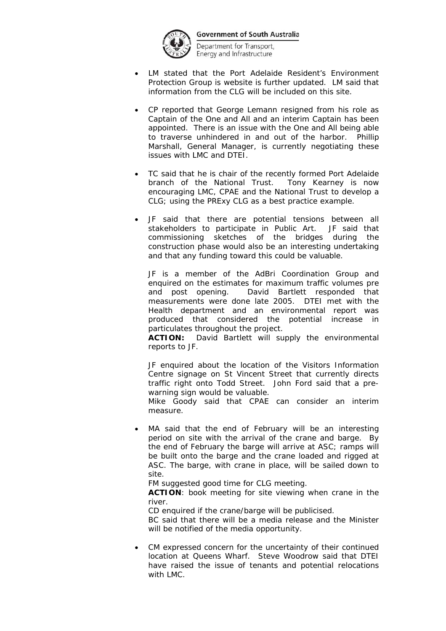

Department for Transport, Energy and Infrastructure

- LM stated that the Port Adelaide Resident's Environment Protection Group is website is further updated. LM said that information from the CLG will be included on this site.
- CP reported that George Lemann resigned from his role as Captain of the *One and All* and an interim Captain has been appointed. There is an issue with the *One and All* being able to traverse unhindered in and out of the harbor. Phillip Marshall, General Manager, is currently negotiating these issues with LMC and DTEI.
- TC said that he is chair of the recently formed Port Adelaide branch of the National Trust. Tony Kearney is now encouraging LMC, CPAE and the National Trust to develop a CLG; using the PRExy CLG as a best practice example.
- JF said that there are potential tensions between all stakeholders to participate in Public Art. JF said that commissioning sketches of the bridges during the construction phase would also be an interesting undertaking and that any funding toward this could be valuable.

JF is a member of the AdBri Coordination Group and enquired on the estimates for maximum traffic volumes pre and post opening. David Bartlett responded that measurements were done late 2005. DTEI met with the Health department and an environmental report was produced that considered the potential increase in particulates throughout the project.

**ACTION:** David Bartlett will supply the environmental reports to JF.

JF enquired about the location of the Visitors Information Centre signage on St Vincent Street that currently directs traffic right onto Todd Street. John Ford said that a prewarning sign would be valuable.

Mike Goody said that CPAE can consider an interim measure.

MA said that the end of February will be an interesting period on site with the arrival of the crane and barge. By the end of February the barge will arrive at ASC; ramps will be built onto the barge and the crane loaded and rigged at ASC. The barge, with crane in place, will be sailed down to site.

FM suggested good time for CLG meeting.

**ACTION**: book meeting for site viewing when crane in the river.

CD enquired if the crane/barge will be publicised.

BC said that there will be a media release and the Minister will be notified of the media opportunity.

CM expressed concern for the uncertainty of their continued location at Queens Wharf. Steve Woodrow said that DTEI have raised the issue of tenants and potential relocations with LMC.